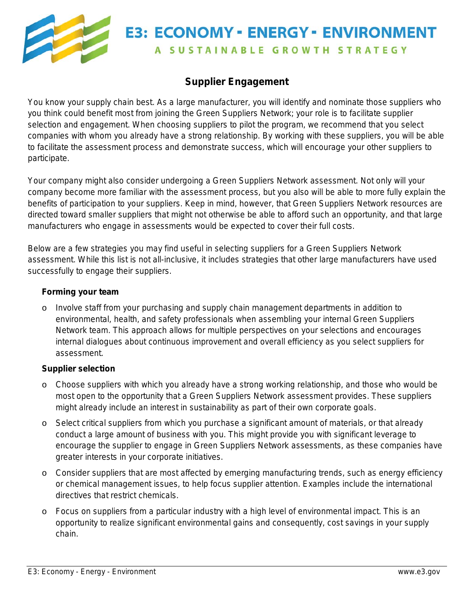

## **E3: ECONOMY - ENERGY - ENVIRONMENT** A SUSTAINABLE GROWTH STRATEGY

## **Supplier Engagement**

You know your supply chain best. As a large manufacturer, you will identify and nominate those suppliers who you think could benefit most from joining the Green Suppliers Network; your role is to facilitate supplier selection and engagement. When choosing suppliers to pilot the program, we recommend that you select companies with whom you already have a strong relationship. By working with these suppliers, you will be able to facilitate the assessment process and demonstrate success, which will encourage your other suppliers to participate.

Your company might also consider undergoing a Green Suppliers Network assessment. Not only will your company become more familiar with the assessment process, but you also will be able to more fully explain the benefits of participation to your suppliers. Keep in mind, however, that Green Suppliers Network resources are directed toward smaller suppliers that might not otherwise be able to afford such an opportunity, and that large manufacturers who engage in assessments would be expected to cover their full costs.

Below are a few strategies you may find useful in selecting suppliers for a Green Suppliers Network assessment. While this list is not all-inclusive, it includes strategies that other large manufacturers have used successfully to engage their suppliers.

## **Forming your team**

Involve staff from your purchasing and supply chain management departments in addition to environmental, health, and safety professionals when assembling your internal Green Suppliers Network team. This approach allows for multiple perspectives on your selections and encourages internal dialogues about continuous improvement and overall efficiency as you select suppliers for assessment.

## **Supplier selection**

- $\circ$  Choose suppliers with which you already have a strong working relationship, and those who would be most open to the opportunity that a Green Suppliers Network assessment provides. These suppliers might already include an interest in sustainability as part of their own corporate goals.
- $\circ$  Select critical suppliers from which you purchase a significant amount of materials, or that already conduct a large amount of business with you. This might provide you with significant leverage to encourage the supplier to engage in Green Suppliers Network assessments, as these companies have greater interests in your corporate initiatives.
- $\circ$  Consider suppliers that are most affected by emerging manufacturing trends, such as energy efficiency or chemical management issues, to help focus supplier attention. Examples include the international directives that restrict chemicals.
- $\circ$  Focus on suppliers from a particular industry with a high level of environmental impact. This is an opportunity to realize significant environmental gains and consequently, cost savings in your supply chain.